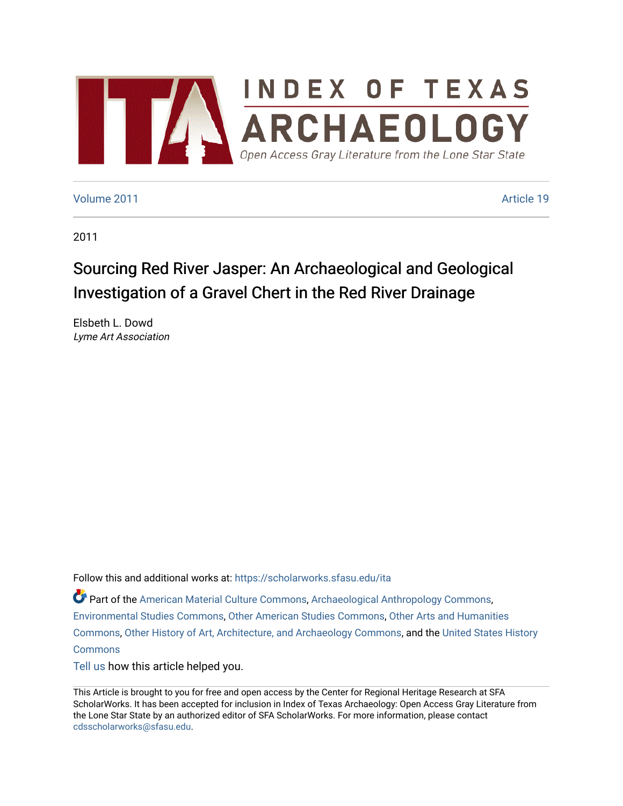

# [Volume 2011](https://scholarworks.sfasu.edu/ita/vol2011) **Article 19**

2011

# Sourcing Red River Jasper: An Archaeological and Geological Investigation of a Gravel Chert in the Red River Drainage

Elsbeth L. Dowd Lyme Art Association

Follow this and additional works at: [https://scholarworks.sfasu.edu/ita](https://scholarworks.sfasu.edu/ita?utm_source=scholarworks.sfasu.edu%2Fita%2Fvol2011%2Fiss1%2F19&utm_medium=PDF&utm_campaign=PDFCoverPages) 

Part of the [American Material Culture Commons,](http://network.bepress.com/hgg/discipline/442?utm_source=scholarworks.sfasu.edu%2Fita%2Fvol2011%2Fiss1%2F19&utm_medium=PDF&utm_campaign=PDFCoverPages) [Archaeological Anthropology Commons,](http://network.bepress.com/hgg/discipline/319?utm_source=scholarworks.sfasu.edu%2Fita%2Fvol2011%2Fiss1%2F19&utm_medium=PDF&utm_campaign=PDFCoverPages) [Environmental Studies Commons,](http://network.bepress.com/hgg/discipline/1333?utm_source=scholarworks.sfasu.edu%2Fita%2Fvol2011%2Fiss1%2F19&utm_medium=PDF&utm_campaign=PDFCoverPages) [Other American Studies Commons](http://network.bepress.com/hgg/discipline/445?utm_source=scholarworks.sfasu.edu%2Fita%2Fvol2011%2Fiss1%2F19&utm_medium=PDF&utm_campaign=PDFCoverPages), [Other Arts and Humanities](http://network.bepress.com/hgg/discipline/577?utm_source=scholarworks.sfasu.edu%2Fita%2Fvol2011%2Fiss1%2F19&utm_medium=PDF&utm_campaign=PDFCoverPages) [Commons](http://network.bepress.com/hgg/discipline/577?utm_source=scholarworks.sfasu.edu%2Fita%2Fvol2011%2Fiss1%2F19&utm_medium=PDF&utm_campaign=PDFCoverPages), [Other History of Art, Architecture, and Archaeology Commons,](http://network.bepress.com/hgg/discipline/517?utm_source=scholarworks.sfasu.edu%2Fita%2Fvol2011%2Fiss1%2F19&utm_medium=PDF&utm_campaign=PDFCoverPages) and the [United States History](http://network.bepress.com/hgg/discipline/495?utm_source=scholarworks.sfasu.edu%2Fita%2Fvol2011%2Fiss1%2F19&utm_medium=PDF&utm_campaign=PDFCoverPages)  **[Commons](http://network.bepress.com/hgg/discipline/495?utm_source=scholarworks.sfasu.edu%2Fita%2Fvol2011%2Fiss1%2F19&utm_medium=PDF&utm_campaign=PDFCoverPages)** 

[Tell us](http://sfasu.qualtrics.com/SE/?SID=SV_0qS6tdXftDLradv) how this article helped you.

This Article is brought to you for free and open access by the Center for Regional Heritage Research at SFA ScholarWorks. It has been accepted for inclusion in Index of Texas Archaeology: Open Access Gray Literature from the Lone Star State by an authorized editor of SFA ScholarWorks. For more information, please contact [cdsscholarworks@sfasu.edu.](mailto:cdsscholarworks@sfasu.edu)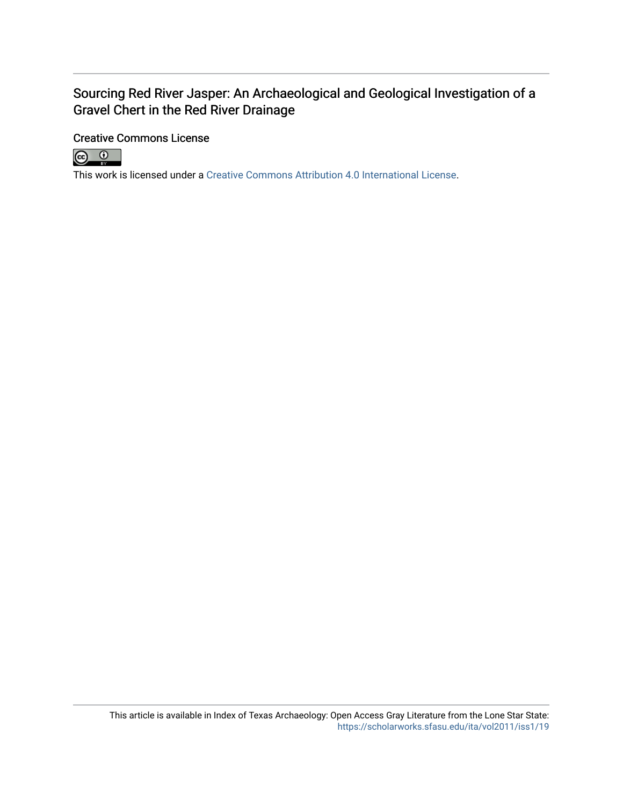# Sourcing Red River Jasper: An Archaeological and Geological Investigation of a Gravel Chert in the Red River Drainage

# Creative Commons License



This work is licensed under a [Creative Commons Attribution 4.0 International License.](https://creativecommons.org/licenses/by/4.0/)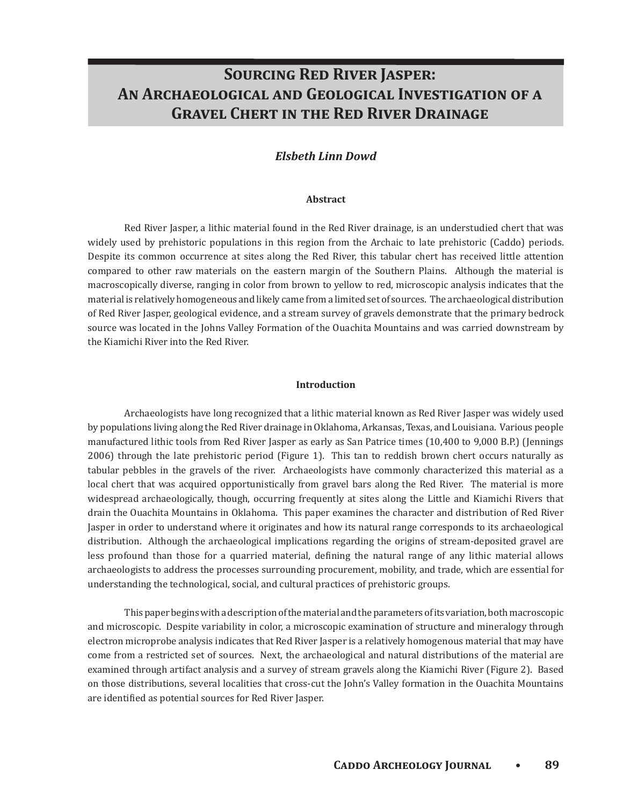# **SOURCING RED RIVER JASPER:** AN ARCHAEOLOGICAL AND GEOLOGICAL INVESTIGATION OF A **GRAVEL CHERT IN THE RED RIVER DRAINAGE**

# *Elsbeth Linn Dowd*

#### **Abstract**

Red River Jasper, a lithic material found in the Red River drainage, is an understudied chert that was widely used by prehistoric populations in this region from the Archaic to late prehistoric (Caddo) periods. Despite its common occurrence at sites along the Red River, this tabular chert has received little attention compared to other raw materials on the eastern margin of the Southern Plains. Although the material is macroscopically diverse, ranging in color from brown to yellow to red, microscopic analysis indicates that the material is relatively homogeneous and likely came from a limited set of sources. The archaeological distribution of Red River Jasper, geological evidence, and a stream survey of gravels demonstrate that the primary bedrock source was located in the Johns Valley Formation of the Ouachita Mountains and was carried downstream by the Kiamichi River into the Red River.

#### **Introduction**

Archaeologists have long recognized that a lithic material known as Red River Jasper was widely used by populations living along the Red River drainage in Oklahoma, Arkansas, Texas, and Louisiana. Various people manufactured lithic tools from Red River Jasper as early as San Patrice times (10,400 to 9,000 B.P.) (Jennings 2006) through the late prehistoric period (Figure 1). This tan to reddish brown chert occurs naturally as tabular pebbles in the gravels of the river. Archaeologists have commonly characterized this material as a local chert that was acquired opportunistically from gravel bars along the Red River. The material is more widespread archaeologically, though, occurring frequently at sites along the Little and Kiamichi Rivers that drain the Ouachita Mountains in Oklahoma. This paper examines the character and distribution of Red River Jasper in order to understand where it originates and how its natural range corresponds to its archaeological distribution. Although the archaeological implications regarding the origins of stream-deposited gravel are less profound than those for a quarried material, defining the natural range of any lithic material allows archaeologists to address the processes surrounding procurement, mobility, and trade, which are essential for understanding the technological, social, and cultural practices of prehistoric groups.

This paper begins with a description of the material and the parameters of its variation, both macroscopic and microscopic. Despite variability in color, a microscopic examination of structure and mineralogy through electron microprobe analysis indicates that Red River Jasper is a relatively homogenous material that may have come from a restricted set of sources. Next, the archaeological and natural distributions of the material are examined through artifact analysis and a survey of stream gravels along the Kiamichi River (Figure 2). Based on those distributions, several localities that cross-cut the John's Valley formation in the Ouachita Mountains are identified as potential sources for Red River Jasper.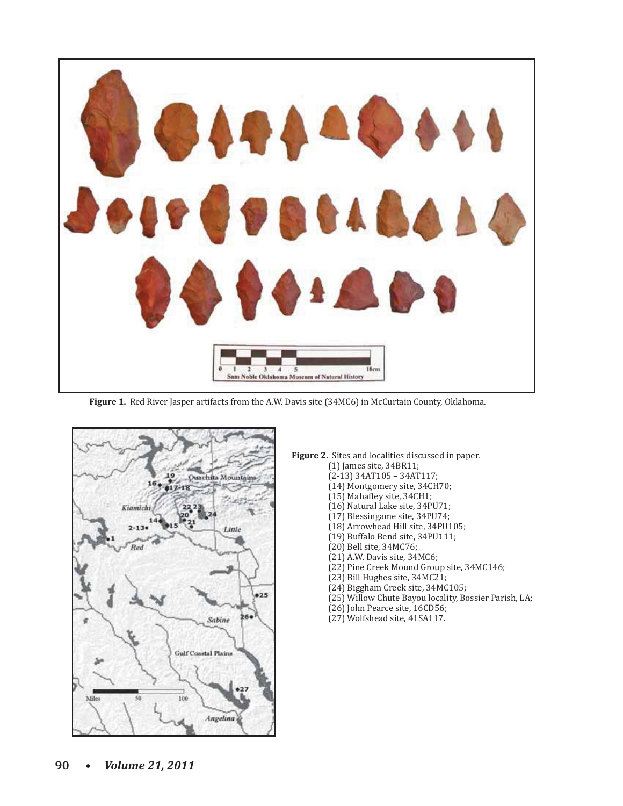

Figure 1. Red River Jasper artifacts from the A.W. Davis site (34MC6) in McCurtain County, Oklahoma.



# Figure 2. Sites and localities discussed in paper.

- $(1)$  James site, 34BR11;
	- $(2-13)$  34AT105 34AT117;
	- (14) Montgomery site, 34CH70;
	- (15) Mahaffey site, 34CH1;
	- (16) Natural Lake site, 34PU71;
	- (17) Blessingame site, 34PU74;
	- (18) Arrowhead Hill site, 34PU105;
	- (19) Buffalo Bend site, 34PU111;
	- (20) Bell site, 34MC76;
	- (21) A.W. Davis site, 34MC6;
- (22) Pine Creek Mound Group site, 34MC146;
	- (23) Bill Hughes site, 34MC21;
	- (24) Biggham Creek site, 34MC105;
	- (25) Willow Chute Bayou locality, Bossier Parish, LA;
	- (26) John Pearce site, 16CD56;
	- (27) Wolfshead site, 41SA117.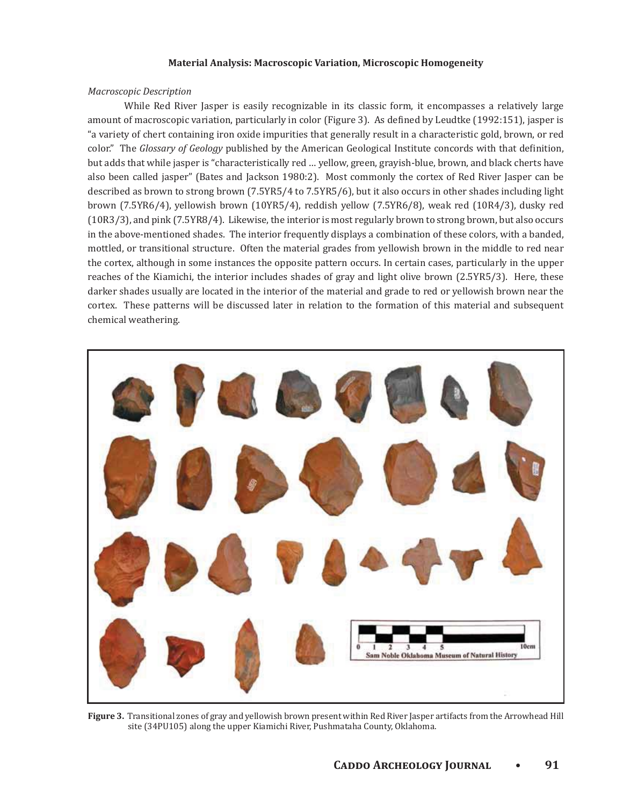#### **Material Analysis: Macroscopic Variation, Microscopic Homogeneity**

## *Macroscopic Description*

While Red River Jasper is easily recognizable in its classic form, it encompasses a relatively large amount of macroscopic variation, particularly in color (Figure 3). As defined by Leudtke (1992:151), jasper is "a variety of chert containing iron oxide impurities that generally result in a characteristic gold, brown, or red color." The Glossary of Geology published by the American Geological Institute concords with that definition, but adds that while jasper is "characteristically red ... yellow, green, grayish-blue, brown, and black cherts have also been called jasper" (Bates and Jackson 1980:2). Most commonly the cortex of Red River Jasper can be described as brown to strong brown (7.5YR5/4 to 7.5YR5/6), but it also occurs in other shades including light brown (7.5YR6/4), yellowish brown (10YR5/4), reddish yellow (7.5YR6/8), weak red (10R4/3), dusky red (10R3/3), and pink (7.5YR8/4). Likewise, the interior is most regularly brown to strong brown, but also occurs in the above-mentioned shades. The interior frequently displays a combination of these colors, with a banded, mottled, or transitional structure. Often the material grades from yellowish brown in the middle to red near the cortex, although in some instances the opposite pattern occurs. In certain cases, particularly in the upper reaches of the Kiamichi, the interior includes shades of gray and light olive brown (2.5YR5/3). Here, these darker shades usually are located in the interior of the material and grade to red or yellowish brown near the cortex. These patterns will be discussed later in relation to the formation of this material and subsequent chemical weathering.



Figure 3. Transitional zones of gray and yellowish brown present within Red River Jasper artifacts from the Arrowhead Hill site (34PU105) along the upper Kiamichi River, Pushmataha County, Oklahoma.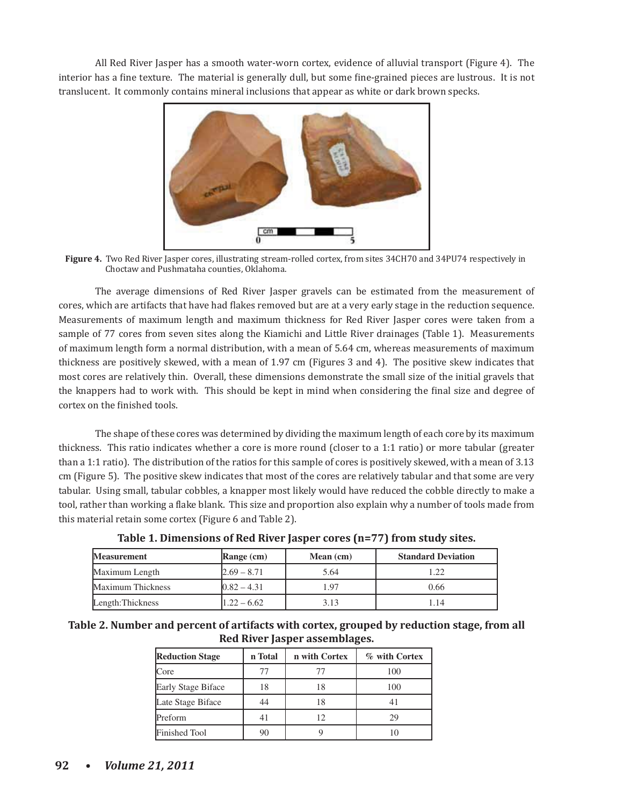All Red River Jasper has a smooth water-worn cortex, evidence of alluvial transport (Figure 4). The interior has a fine texture. The material is generally dull, but some fine-grained pieces are lustrous. It is not translucent. It commonly contains mineral inclusions that appear as white or dark brown specks.



Figure 4. Two Red River Jasper cores, illustrating stream-rolled cortex, from sites 34CH70 and 34PU74 respectively in Choctaw and Pushmataha counties, Oklahoma.

The average dimensions of Red River Jasper gravels can be estimated from the measurement of cores, which are artifacts that have had flakes removed but are at a very early stage in the reduction sequence. Measurements of maximum length and maximum thickness for Red River Jasper cores were taken from a sample of 77 cores from seven sites along the Kiamichi and Little River drainages (Table 1). Measurements of maximum length form a normal distribution, with a mean of 5.64 cm, whereas measurements of maximum thickness are positively skewed, with a mean of 1.97 cm (Figures 3 and 4). The positive skew indicates that most cores are relatively thin. Overall, these dimensions demonstrate the small size of the initial gravels that the knappers had to work with. This should be kept in mind when considering the final size and degree of cortex on the finished tools.

The shape of these cores was determined by dividing the maximum length of each core by its maximum thickness. This ratio indicates whether a core is more round (closer to a 1:1 ratio) or more tabular (greater than a 1:1 ratio). The distribution of the ratios for this sample of cores is positively skewed, with a mean of 3.13 cm (Figure 5). The positive skew indicates that most of the cores are relatively tabular and that some are very tabular. Using small, tabular cobbles, a knapper most likely would have reduced the cobble directly to make a tool, rather than working a flake blank. This size and proportion also explain why a number of tools made from this material retain some cortex (Figure 6 and Table 2).

| <b>Measurement</b> | Range (cm)    | Mean $(cm)$ | <b>Standard Deviation</b> |  |
|--------------------|---------------|-------------|---------------------------|--|
| Maximum Length     | $2.69 - 8.71$ | 5.64        | 1.22                      |  |
| Maximum Thickness  | $0.82 - 4.31$ | 1.97        | 0.66                      |  |
| Length: Thickness  | $1.22 - 6.62$ | 3.13        | 1.14                      |  |

| Table 1. Dimensions of Red River Jasper cores (n=77) from study sites. |  |
|------------------------------------------------------------------------|--|
|                                                                        |  |

| Table 2. Number and percent of artifacts with cortex, grouped by reduction stage, from all |  |
|--------------------------------------------------------------------------------------------|--|
| Red River Jasper assemblages.                                                              |  |

| <b>Reduction Stage</b> | n Total | n with Cortex | % with Cortex |  |
|------------------------|---------|---------------|---------------|--|
| Core                   | 77      |               | 100           |  |
| Early Stage Biface     | 18      | 18            | 100           |  |
| Late Stage Biface      | 44      |               | 41            |  |
| Preform                |         | 12            | 29            |  |
| <b>Finished Tool</b>   | 90      |               |               |  |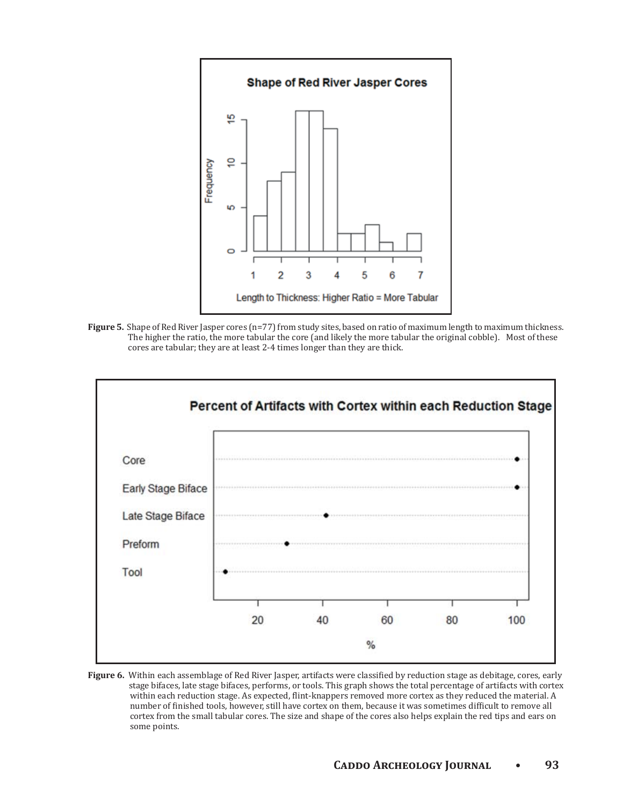

**Figure 5.** Shape of Red River Jasper cores (n=77) from study sites, based on ratio of maximum length to maximum thickness. The higher the ratio, the more tabular the core (and likely the more tabular the original cobble). Most of these cores are tabular; they are at least 2-4 times longer than they are thick.



Figure 6. Within each assemblage of Red River Jasper, artifacts were classified by reduction stage as debitage, cores, early stage bifaces, late stage bifaces, performs, or tools. This graph shows the total percentage of artifacts with cortex within each reduction stage. As expected, flint-knappers removed more cortex as they reduced the material. A number of finished tools, however, still have cortex on them, because it was sometimes difficult to remove all cortex from the small tabular cores. The size and shape of the cores also helps explain the red tips and ears on some points.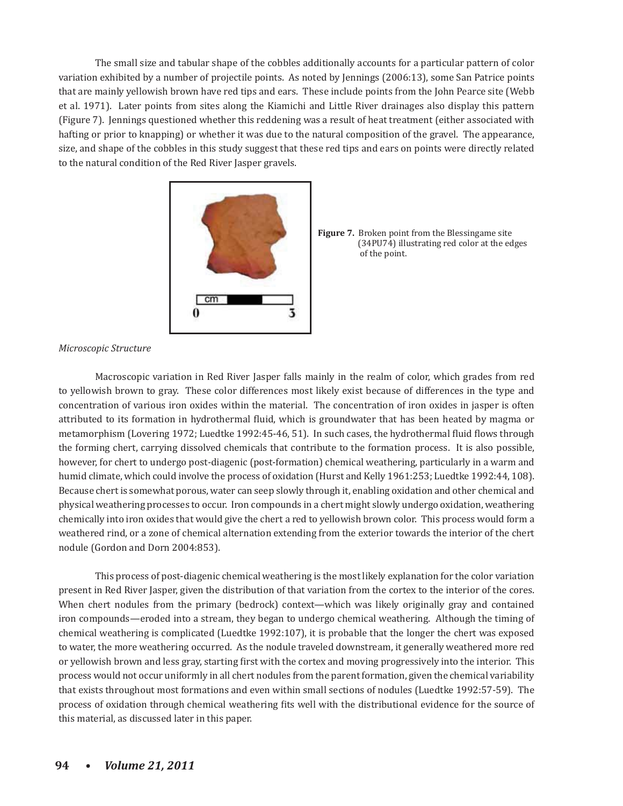The small size and tabular shape of the cobbles additionally accounts for a particular pattern of color variation exhibited by a number of projectile points. As noted by Jennings (2006:13), some San Patrice points that are mainly yellowish brown have red tips and ears. These include points from the John Pearce site (Webb et al. 1971). Later points from sites along the Kiamichi and Little River drainages also display this pattern (Figure 7). Jennings questioned whether this reddening was a result of heat treatment (either associated with hafting or prior to knapping) or whether it was due to the natural composition of the gravel. The appearance, size, and shape of the cobbles in this study suggest that these red tips and ears on points were directly related to the natural condition of the Red River Jasper gravels.



**Figure 7.** Broken point from the Blessingame site (34PU74) illustrating red color at the edges of the point.

#### *Microscopic Structure*

Macroscopic variation in Red River Jasper falls mainly in the realm of color, which grades from red to yellowish brown to gray. These color differences most likely exist because of differences in the type and concentration of various iron oxides within the material. The concentration of iron oxides in jasper is often attributed to its formation in hydrothermal fluid, which is groundwater that has been heated by magma or metamorphism (Lovering 1972; Luedtke 1992:45-46, 51). In such cases, the hydrothermal fluid flows through the forming chert, carrying dissolved chemicals that contribute to the formation process. It is also possible, however, for chert to undergo post-diagenic (post-formation) chemical weathering, particularly in a warm and humid climate, which could involve the process of oxidation (Hurst and Kelly 1961:253; Luedtke 1992:44, 108). Because chert is somewhat porous, water can seep slowly through it, enabling oxidation and other chemical and physical weathering processes to occur. Iron compounds in a chert might slowly undergo oxidation, weathering chemically into iron oxides that would give the chert a red to yellowish brown color. This process would form a weathered rind, or a zone of chemical alternation extending from the exterior towards the interior of the chert nodule (Gordon and Dorn 2004:853).

This process of post-diagenic chemical weathering is the most likely explanation for the color variation present in Red River Jasper, given the distribution of that variation from the cortex to the interior of the cores. When chert nodules from the primary (bedrock) context—which was likely originally gray and contained iron compounds—eroded into a stream, they began to undergo chemical weathering. Although the timing of chemical weathering is complicated (Luedtke 1992:107), it is probable that the longer the chert was exposed to water, the more weathering occurred. As the nodule traveled downstream, it generally weathered more red or yellowish brown and less gray, starting first with the cortex and moving progressively into the interior. This process would not occur uniformly in all chert nodules from the parent formation, given the chemical variability that exists throughout most formations and even within small sections of nodules (Luedtke 1992:57-59). The process of oxidation through chemical weathering fits well with the distributional evidence for the source of this material, as discussed later in this paper.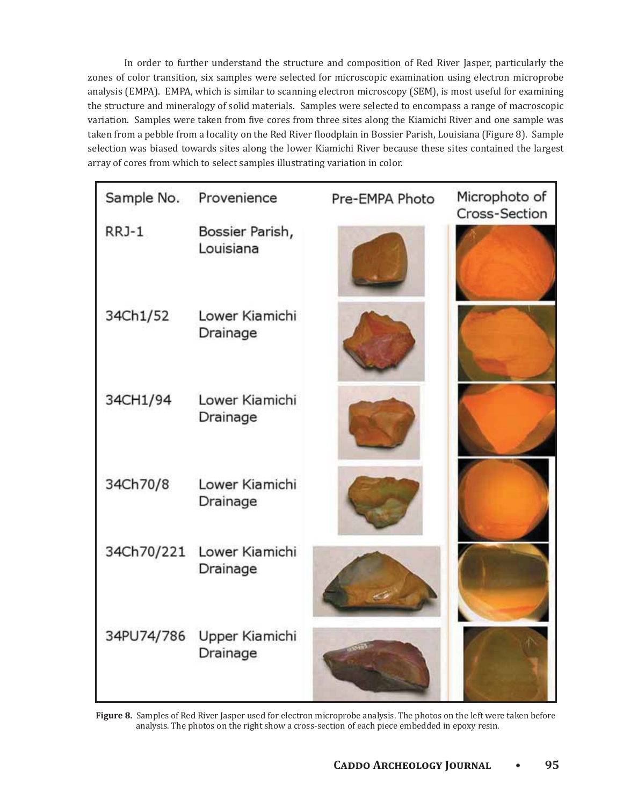In order to further understand the structure and composition of Red River Jasper, particularly the zones of color transition, six samples were selected for microscopic examination using electron microprobe analysis (EMPA). EMPA, which is similar to scanning electron microscopy (SEM), is most useful for examining the structure and mineralogy of solid materials. Samples were selected to encompass a range of macroscopic variation. Samples were taken from five cores from three sites along the Kiamichi River and one sample was taken from a pebble from a locality on the Red River floodplain in Bossier Parish, Louisiana (Figure 8). Sample selection was biased towards sites along the lower Kiamichi River because these sites contained the largest array of cores from which to select samples illustrating variation in color.

| Sample No. | Provenience                  | Pre-EMPA Photo | Microphoto of<br>Cross-Section |
|------------|------------------------------|----------------|--------------------------------|
| RRJ-1      | Bossier Parish,<br>Louisiana |                |                                |
| 34Ch1/52   | Lower Kiamichi<br>Drainage   |                |                                |
| 34CH1/94   | Lower Kiamichi<br>Drainage   |                |                                |
| 34Ch70/8   | Lower Kiamichi<br>Drainage   |                |                                |
| 34Ch70/221 | Lower Kiamichi<br>Drainage   |                |                                |
| 34PU74/786 | Upper Kiamichi<br>Drainage   |                |                                |

Figure 8. Samples of Red River Jasper used for electron microprobe analysis. The photos on the left were taken before analysis. The photos on the right show a cross-section of each piece embedded in epoxy resin.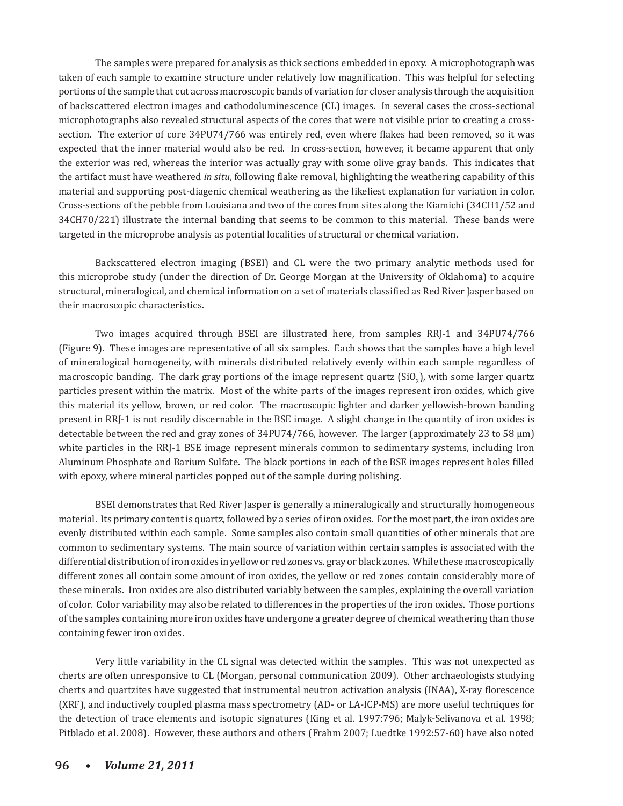The samples were prepared for analysis as thick sections embedded in epoxy. A microphotograph was taken of each sample to examine structure under relatively low magnification. This was helpful for selecting portions of the sample that cut across macroscopic bands of variation for closer analysis through the acquisition of backscattered electron images and cathodoluminescence (CL) images. In several cases the cross-sectional microphotographs also revealed structural aspects of the cores that were not visible prior to creating a crosssection. The exterior of core 34PU74/766 was entirely red, even where flakes had been removed, so it was expected that the inner material would also be red. In cross-section, however, it became apparent that only the exterior was red, whereas the interior was actually gray with some olive gray bands. This indicates that the artifact must have weathered *in situ*, following flake removal, highlighting the weathering capability of this material and supporting post-diagenic chemical weathering as the likeliest explanation for variation in color. Cross-sections of the pebble from Louisiana and two of the cores from sites along the Kiamichi (34CH1/52 and 34CH70/221) illustrate the internal banding that seems to be common to this material. These bands were targeted in the microprobe analysis as potential localities of structural or chemical variation.

Backscattered electron imaging (BSEI) and CL were the two primary analytic methods used for this microprobe study (under the direction of Dr. George Morgan at the University of Oklahoma) to acquire structural, mineralogical, and chemical information on a set of materials classified as Red River Jasper based on their macroscopic characteristics.

Two images acquired through BSEI are illustrated here, from samples RRJ-1 and 34PU74/766 (Figure 9). These images are representative of all six samples. Each shows that the samples have a high level of mineralogical homogeneity, with minerals distributed relatively evenly within each sample regardless of macroscopic banding. The dark gray portions of the image represent quartz (SiO<sub>2</sub>), with some larger quartz particles present within the matrix. Most of the white parts of the images represent iron oxides, which give this material its yellow, brown, or red color. The macroscopic lighter and darker yellowish-brown banding present in RRJ-1 is not readily discernable in the BSE image. A slight change in the quantity of iron oxides is detectable between the red and gray zones of 34PU74/766, however. The larger (approximately 23 to 58 μm) white particles in the RRJ-1 BSE image represent minerals common to sedimentary systems, including Iron Aluminum Phosphate and Barium Sulfate. The black portions in each of the BSE images represent holes filled with epoxy, where mineral particles popped out of the sample during polishing.

BSEI demonstrates that Red River Jasper is generally a mineralogically and structurally homogeneous material. Its primary content is quartz, followed by a series of iron oxides. For the most part, the iron oxides are evenly distributed within each sample. Some samples also contain small quantities of other minerals that are common to sedimentary systems. The main source of variation within certain samples is associated with the differential distribution of iron oxides in yellow or red zones vs. gray or black zones. While these macroscopically different zones all contain some amount of iron oxides, the yellow or red zones contain considerably more of these minerals. Iron oxides are also distributed variably between the samples, explaining the overall variation of color. Color variability may also be related to differences in the properties of the iron oxides. Those portions of the samples containing more iron oxides have undergone a greater degree of chemical weathering than those containing fewer iron oxides.

Very little variability in the CL signal was detected within the samples. This was not unexpected as cherts are often unresponsive to CL (Morgan, personal communication 2009). Other archaeologists studying cherts and quartzites have suggested that instrumental neutron activation analysis (INAA), X-ray florescence (XRF), and inductively coupled plasma mass spectrometry (AD- or LA-ICP-MS) are more useful techniques for the detection of trace elements and isotopic signatures (King et al. 1997:796; Malyk-Selivanova et al. 1998; Pitblado et al. 2008). However, these authors and others (Frahm 2007; Luedtke 1992:57-60) have also noted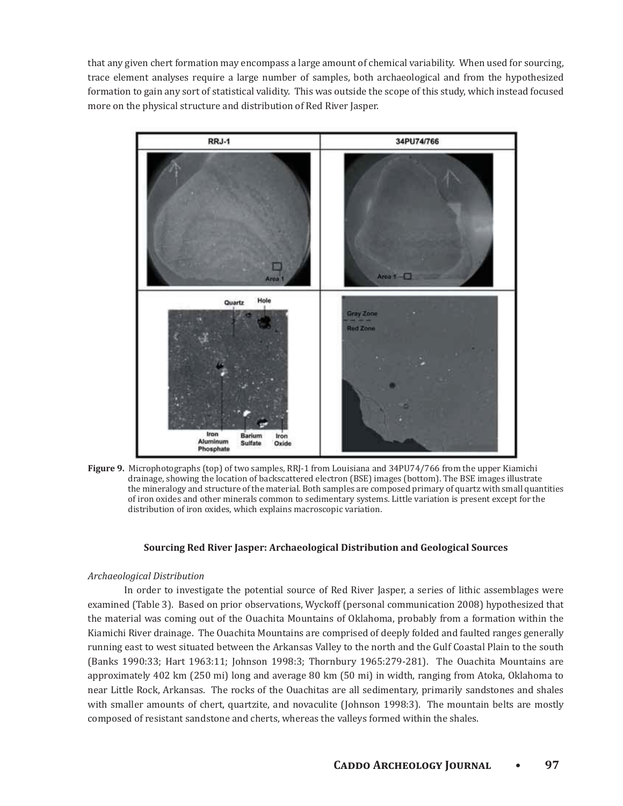that any given chert formation may encompass a large amount of chemical variability. When used for sourcing, trace element analyses require a large number of samples, both archaeological and from the hypothesized formation to gain any sort of statistical validity. This was outside the scope of this study, which instead focused more on the physical structure and distribution of Red River Jasper.



Figure 9. Microphotographs (top) of two samples, RRJ-1 from Louisiana and 34PU74/766 from the upper Kiamichi drainage, showing the location of backscattered electron (BSE) images (bottom). The BSE images illustrate the mineralogy and structure of the material. Both samples are composed primary of quartz with small quantities of iron oxides and other minerals common to sedimentary systems. Little variation is present except for the distribution of iron oxides, which explains macroscopic variation.

#### **Sourcing Red River Jasper: Archaeological Distribution and Geological Sources**

## *Archaeological Distribution*

In order to investigate the potential source of Red River Jasper, a series of lithic assemblages were examined (Table 3). Based on prior observations, Wyckoff (personal communication 2008) hypothesized that the material was coming out of the Ouachita Mountains of Oklahoma, probably from a formation within the Kiamichi River drainage. The Ouachita Mountains are comprised of deeply folded and faulted ranges generally running east to west situated between the Arkansas Valley to the north and the Gulf Coastal Plain to the south (Banks 1990:33; Hart 1963:11; Johnson 1998:3; Thornbury 1965:279-281). The Ouachita Mountains are approximately 402 km (250 mi) long and average 80 km (50 mi) in width, ranging from Atoka, Oklahoma to near Little Rock, Arkansas. The rocks of the Quachitas are all sedimentary, primarily sandstones and shales with smaller amounts of chert, quartzite, and novaculite (Johnson 1998:3). The mountain belts are mostly composed of resistant sandstone and cherts, whereas the valleys formed within the shales.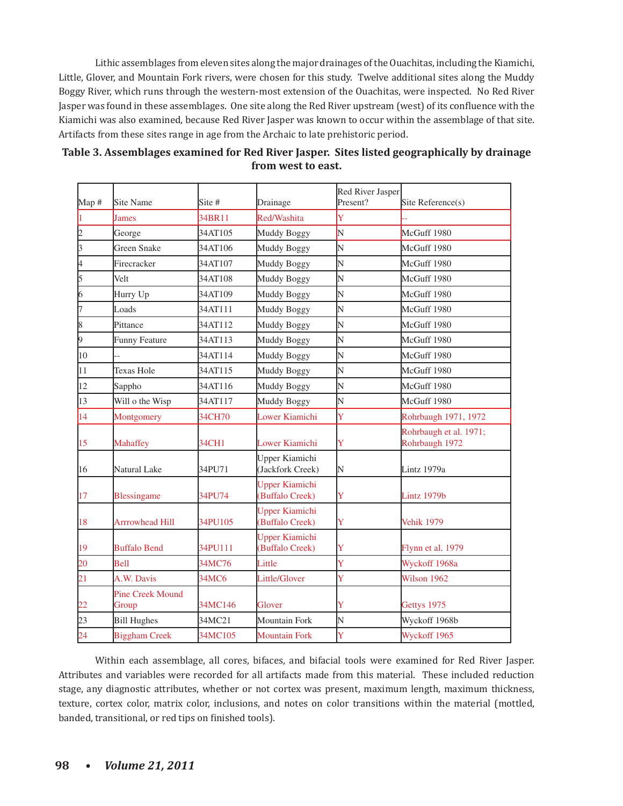Lithic assemblages from eleven sites along the major drainages of the Ouachitas, including the Kiamichi, Little, Glover, and Mountain Fork rivers, were chosen for this study. Twelve additional sites along the Muddy Boggy River, which runs through the western-most extension of the Ouachitas, were inspected. No Red River Jasper was found in these assemblages. One site along the Red River upstream (west) of its confluence with the Kiamichi was also examined, because Red River Jasper was known to occur within the assemblage of that site. Artifacts from these sites range in age from the Archaic to late prehistoric period.

| Map #     | Site Name                        | Site #  | Drainage                                 | Red River Jasper<br>Present? | Site Reference(s)                        |
|-----------|----------------------------------|---------|------------------------------------------|------------------------------|------------------------------------------|
|           | James                            | 34BR11  | Red/Washita                              | Y                            |                                          |
| 2         | George                           | 34AT105 | Muddy Boggy                              | N                            | McGuff 1980                              |
| 3         | Green Snake                      | 34AT106 | Muddy Boggy                              | N                            | McGuff 1980                              |
| 4         | Firecracker                      | 34AT107 | Muddy Boggy                              | N                            | McGuff 1980                              |
| 5         | Velt                             | 34AT108 | Muddy Boggy                              | N                            | McGuff 1980                              |
| 6         | Hurry Up                         | 34AT109 | Muddy Boggy                              | N                            | McGuff 1980                              |
| 17        | Loads                            | 34AT111 | Muddy Boggy                              | N                            | McGuff 1980                              |
| $\vert_8$ | Pittance                         | 34AT112 | Muddy Boggy                              | N                            | McGuff 1980                              |
| þ,        | Funny Feature                    | 34AT113 | Muddy Boggy                              | N                            | McGuff 1980                              |
| 10        |                                  | 34AT114 | Muddy Boggy                              | N                            | McGuff 1980                              |
| 11        | <b>Texas Hole</b>                | 34AT115 | Muddy Boggy                              | N                            | McGuff 1980                              |
| 12        | Sappho                           | 34AT116 | Muddy Boggy                              | N                            | McGuff 1980                              |
| 13        | Will o the Wisp                  | 34AT117 | Muddy Boggy                              | N                            | McGuff 1980                              |
| 14        | Montgomery                       | 34CH70  | Lower Kiamichi                           | Ý                            | Rohrbaugh 1971, 1972                     |
| 15        | <b>Mahaffey</b>                  | 34CH1   | <b>Lower Kiamichi</b>                    | Y                            | Rohrbaugh et al. 1971;<br>Rohrbaugh 1972 |
| 16        | Natural Lake                     | 34PU71  | Upper Kiamichi<br>(Jackfork Creek)       | N                            | Lintz 1979a                              |
| 17        | <b>Blessingame</b>               | 34PU74  | <b>Upper Kiamichi</b><br>(Buffalo Creek) | Ÿ                            | Lintz 1979b                              |
| 18        | Arrrowhead Hill                  | 34PU105 | <b>Upper Kiamichi</b><br>(Buffalo Creek) | Y                            | <b>Vehik 1979</b>                        |
| 19        | <b>Buffalo Bend</b>              | 34PU111 | <b>Upper Kiamichi</b><br>(Buffalo Creek) | Y                            | Flynn et al. 1979                        |
| 20        | Bell                             | 34MC76  | Little                                   | Ý                            | Wyckoff 1968a                            |
| 21        | A.W. Davis                       | 34MC6   | Little/Glover                            | Ý                            | Wilson 1962                              |
| 22        | <b>Pine Creek Mound</b><br>Group | 34MC146 | Glover                                   | Ÿ                            | Gettys 1975                              |
| 23        | <b>Bill Hughes</b>               | 34MC21  | Mountain Fork                            | N                            | Wyckoff 1968b                            |
| 24        | <b>Biggham Creek</b>             | 34MC105 | <b>Mountain Fork</b>                     | Y                            | Wyckoff 1965                             |

| Table 3. Assemblages examined for Red River Jasper. Sites listed geographically by drainage |
|---------------------------------------------------------------------------------------------|
| from west to east.                                                                          |

Within each assemblage, all cores, bifaces, and bifacial tools were examined for Red River Jasper. Attributes and variables were recorded for all artifacts made from this material. These included reduction stage, any diagnostic attributes, whether or not cortex was present, maximum length, maximum thickness, texture, cortex color, matrix color, inclusions, and notes on color transitions within the material (mottled, banded, transitional, or red tips on finished tools).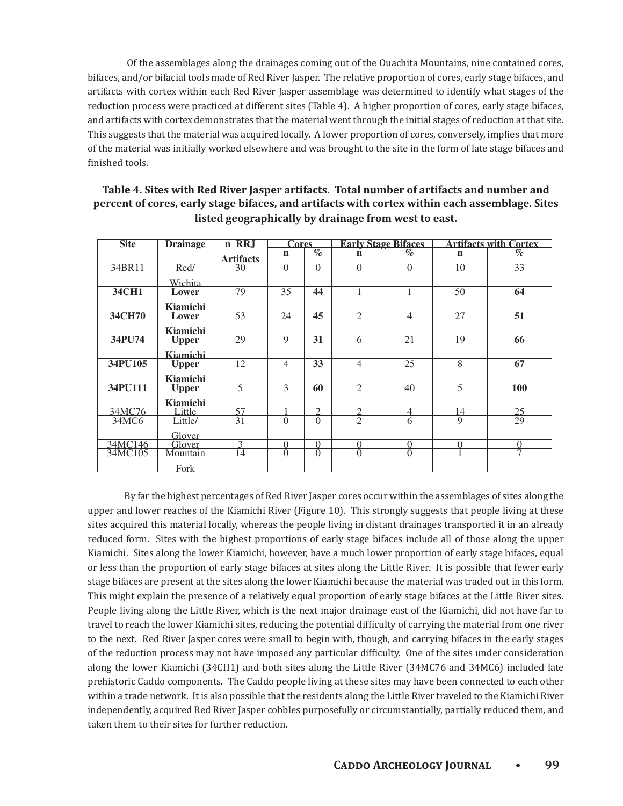Of the assemblages along the drainages coming out of the Ouachita Mountains, nine contained cores, bifaces, and/or bifacial tools made of Red River Jasper. The relative proportion of cores, early stage bifaces, and artifacts with cortex within each Red River Jasper assemblage was determined to identify what stages of the reduction process were practiced at different sites (Table 4). A higher proportion of cores, early stage bifaces, and artifacts with cortex demonstrates that the material went through the initial stages of reduction at that site. This suggests that the material was acquired locally. A lower proportion of cores, conversely, implies that more of the material was initially worked elsewhere and was brought to the site in the form of late stage bifaces and finished tools.

| <b>Site</b> | <b>Drainage</b> | n RRJ            | <b>Cores</b>   |                             | <b>Early Stage Bifaces</b>  |                 | <b>Artifacts with Cortex</b> |                 |
|-------------|-----------------|------------------|----------------|-----------------------------|-----------------------------|-----------------|------------------------------|-----------------|
|             |                 |                  |                | $\mathscr{A}_{\mathcal{O}}$ | $\mathcal{O}'$              |                 |                              | $\%$            |
|             |                 | <b>Artifacts</b> | $\mathbf n$    |                             | n                           |                 | n                            |                 |
| 34BR11      | Red/            | 30               | $\Omega$       | $\Omega$                    | $\Omega$                    | $\Omega$        | 10                           | 33              |
|             | Wichita         |                  |                |                             |                             |                 |                              |                 |
| 34CH1       | Lower           | 79               | 35             | 44                          |                             | 1               | 50                           | 64              |
|             | Kiamichi        |                  |                |                             |                             |                 |                              |                 |
| 34CH70      | Lower           | 53               | 24             | 45                          | $\mathcal{D}_{\mathcal{L}}$ | $\overline{4}$  | 27                           | 51              |
|             | Kiamichi        |                  |                |                             |                             |                 |                              |                 |
| 34PU74      | <b>Upper</b>    | 29               | 9              | 31                          | 6                           | 21              | 19                           | 66              |
|             | Kiamichi        |                  |                |                             |                             |                 |                              |                 |
| 34PU105     | <b>Upper</b>    | 12               | $\overline{4}$ | $\overline{33}$             | $\overline{4}$              | $\overline{25}$ | $\overline{8}$               | 67              |
|             | Kiamichi        |                  |                |                             |                             |                 |                              |                 |
| 34PU111     | <b>Upper</b>    | 5                | 3              | 60                          | $\overline{2}$              | $\overline{40}$ | $\overline{5}$               | <b>100</b>      |
|             | Kiamichi        |                  |                |                             |                             |                 |                              |                 |
| 34MC76      | Little          | 57               |                | $\mathcal{D}$               | $\mathcal{D}$               | 4               | 14                           | $\overline{25}$ |
| 34MC6       | Little/         | $\overline{31}$  | $\Omega$       | $\Omega$                    | $\overline{2}$              | 6               | $\overline{Q}$               | $\overline{29}$ |
|             | Glover          |                  |                |                             |                             |                 |                              |                 |
| 34MC146     | Glover          | 3                | $\Omega$       | $\Omega$                    | $\Omega$                    | $\Omega$        | $\Omega$                     | $\Omega$        |
| 34MC105     | Mountain        | 14               | $\Omega$       | $\Omega$                    | $\Omega$                    | $\Omega$        | 1                            | $\overline{7}$  |
|             | <b>Fork</b>     |                  |                |                             |                             |                 |                              |                 |

# Table 4. Sites with Red River Jasper artifacts. Total number of artifacts and number and **percent of cores, early stage bifaces, and artifacts with cortex within each assemblage. Sites** listed geographically by drainage from west to east.

By far the highest percentages of Red River Jasper cores occur within the assemblages of sites along the upper and lower reaches of the Kiamichi River (Figure 10). This strongly suggests that people living at these sites acquired this material locally, whereas the people living in distant drainages transported it in an already reduced form. Sites with the highest proportions of early stage bifaces include all of those along the upper Kiamichi. Sites along the lower Kiamichi, however, have a much lower proportion of early stage bifaces, equal or less than the proportion of early stage bifaces at sites along the Little River. It is possible that fewer early stage bifaces are present at the sites along the lower Kiamichi because the material was traded out in this form. This might explain the presence of a relatively equal proportion of early stage bifaces at the Little River sites. People living along the Little River, which is the next major drainage east of the Kiamichi, did not have far to travel to reach the lower Kiamichi sites, reducing the potential difficulty of carrying the material from one river to the next. Red River Jasper cores were small to begin with, though, and carrying bifaces in the early stages of the reduction process may not have imposed any particular difficulty. One of the sites under consideration along the lower Kiamichi (34CH1) and both sites along the Little River (34MC76 and 34MC6) included late prehistoric Caddo components. The Caddo people living at these sites may have been connected to each other within a trade network. It is also possible that the residents along the Little River traveled to the Kiamichi River independently, acquired Red River Jasper cobbles purposefully or circumstantially, partially reduced them, and taken them to their sites for further reduction.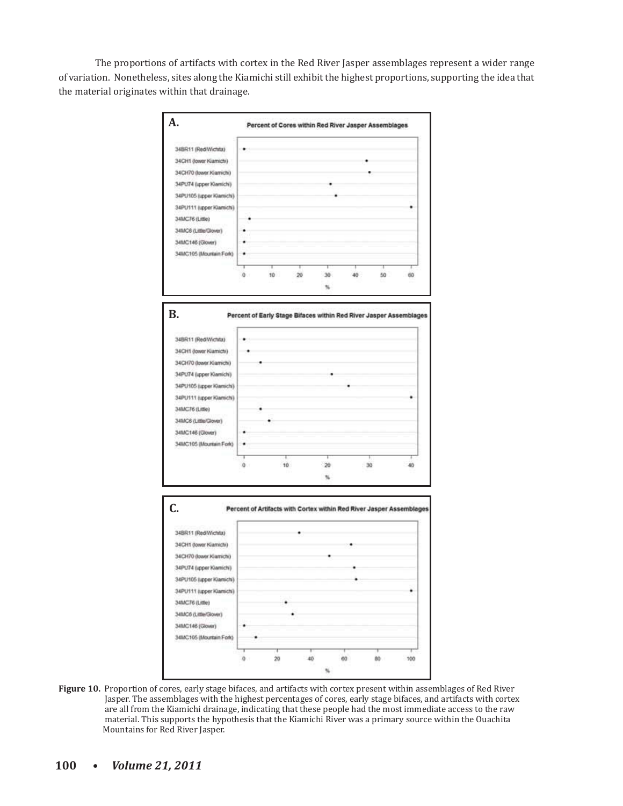The proportions of artifacts with cortex in the Red River Jasper assemblages represent a wider range of variation. Nonetheless, sites along the Kiamichi still exhibit the highest proportions, supporting the idea that the material originates within that drainage.



Figure 10. Proportion of cores, early stage bifaces, and artifacts with cortex present within assemblages of Red River Jasper. The assemblages with the highest percentages of cores, early stage bifaces, and artifacts with cortex are all from the Kiamichi drainage, indicating that these people had the most immediate access to the raw material. This supports the hypothesis that the Kiamichi River was a primary source within the Ouachita Mountains for Red River Jasper.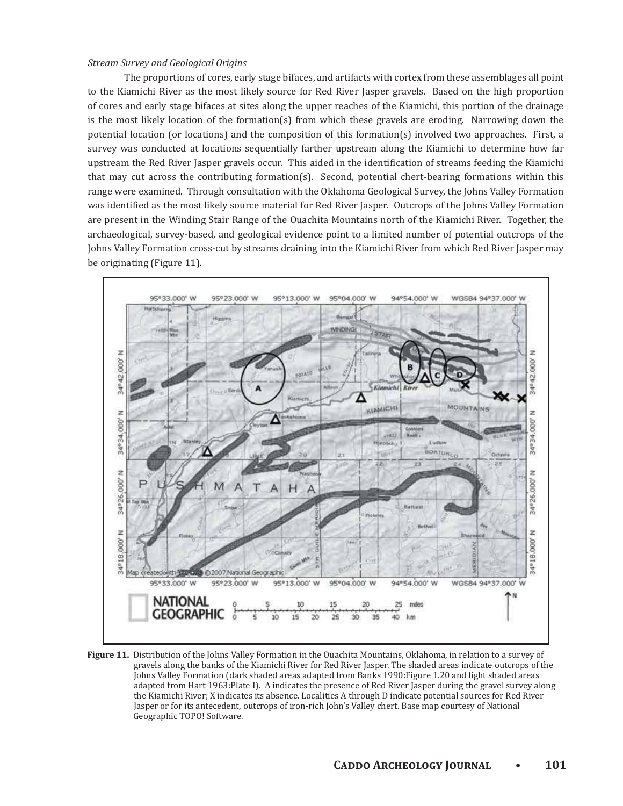#### *Stream Survey and Geological Origins*

The proportions of cores, early stage bifaces, and artifacts with cortex from these assemblages all point to the Kiamichi River as the most likely source for Red River Jasper gravels. Based on the high proportion of cores and early stage bifaces at sites along the upper reaches of the Kiamichi, this portion of the drainage is the most likely location of the formation(s) from which these gravels are eroding. Narrowing down the potential location (or locations) and the composition of this formation(s) involved two approaches. First, a survey was conducted at locations sequentially farther upstream along the Kiamichi to determine how far upstream the Red River Jasper gravels occur. This aided in the identification of streams feeding the Kiamichi that may cut across the contributing formation(s). Second, potential chert-bearing formations within this range were examined. Through consultation with the Oklahoma Geological Survey, the Johns Valley Formation was identified as the most likely source material for Red River Jasper. Outcrops of the Johns Valley Formation are present in the Winding Stair Range of the Ouachita Mountains north of the Kiamichi River. Together, the archaeological, survey-based, and geological evidence point to a limited number of potential outcrops of the Johns Valley Formation cross-cut by streams draining into the Kiamichi River from which Red River Jasper may be originating (Figure 11).



Figure 11. Distribution of the Johns Valley Formation in the Ouachita Mountains, Oklahoma, in relation to a survey of gravels along the banks of the Kiamichi River for Red River Jasper. The shaded areas indicate outcrops of the Johns Valley Formation (dark shaded areas adapted from Banks 1990: Figure 1.20 and light shaded areas adapted from Hart 1963: Plate I).  $\Delta$  indicates the presence of Red River Jasper during the gravel survey along the Kiamichi River; X indicates its absence. Localities A through D indicate potential sources for Red River Jasper or for its antecedent, outcrops of iron-rich John's Valley chert. Base map courtesy of National Geographic TOPO! Software.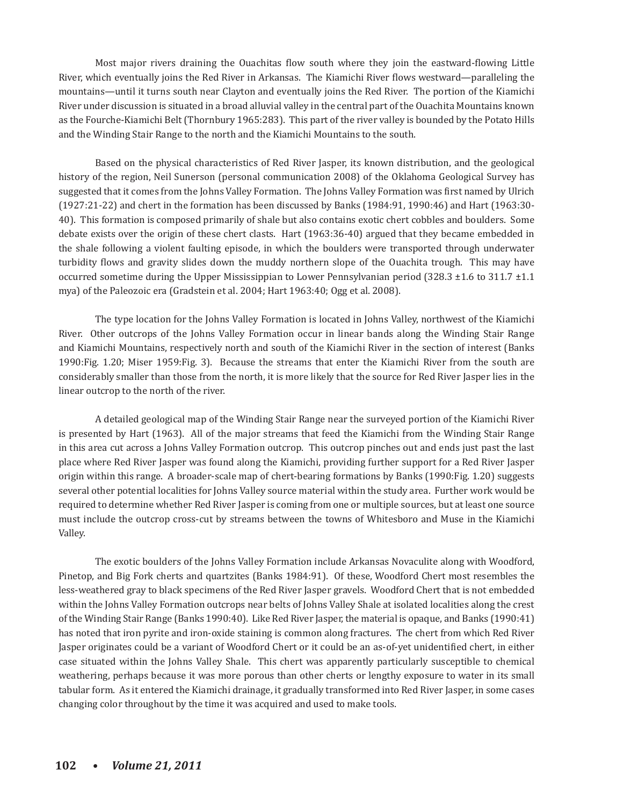Most major rivers draining the Quachitas flow south where they join the eastward-flowing Little River, which eventually joins the Red River in Arkansas. The Kiamichi River flows westward—paralleling the mountains—until it turns south near Clayton and eventually joins the Red River. The portion of the Kiamichi River under discussion is situated in a broad alluvial valley in the central part of the Ouachita Mountains known as the Fourche-Kiamichi Belt (Thornbury 1965:283). This part of the river valley is bounded by the Potato Hills and the Winding Stair Range to the north and the Kiamichi Mountains to the south.

Based on the physical characteristics of Red River Jasper, its known distribution, and the geological history of the region, Neil Sunerson (personal communication 2008) of the Oklahoma Geological Survey has suggested that it comes from the Johns Valley Formation. The Johns Valley Formation was first named by Ulrich  $(1927:21-22)$  and chert in the formation has been discussed by Banks  $(1984:91, 1990:46)$  and Hart  $(1963:30-1)$ 40). This formation is composed primarily of shale but also contains exotic chert cobbles and boulders. Some debate exists over the origin of these chert clasts. Hart (1963:36-40) argued that they became embedded in the shale following a violent faulting episode, in which the boulders were transported through underwater turbidity flows and gravity slides down the muddy northern slope of the Quachita trough. This may have occurred sometime during the Upper Mississippian to Lower Pennsylvanian period  $(328.3 \pm 1.6 \text{ to } 311.7 \pm 1.1)$ mya) of the Paleozoic era (Gradstein et al. 2004; Hart 1963:40; Ogg et al. 2008).

The type location for the Johns Valley Formation is located in Johns Valley, northwest of the Kiamichi River. Other outcrops of the Johns Valley Formation occur in linear bands along the Winding Stair Range and Kiamichi Mountains, respectively north and south of the Kiamichi River in the section of interest (Banks 1990: Fig. 1.20; Miser 1959: Fig. 3). Because the streams that enter the Kiamichi River from the south are considerably smaller than those from the north, it is more likely that the source for Red River Jasper lies in the linear outcrop to the north of the river.

A detailed geological map of the Winding Stair Range near the surveyed portion of the Kiamichi River is presented by Hart (1963). All of the major streams that feed the Kiamichi from the Winding Stair Range in this area cut across a Johns Valley Formation outcrop. This outcrop pinches out and ends just past the last place where Red River Jasper was found along the Kiamichi, providing further support for a Red River Jasper origin within this range. A broader-scale map of chert-bearing formations by Banks (1990: Fig. 1.20) suggests several other potential localities for Johns Valley source material within the study area. Further work would be required to determine whether Red River Jasper is coming from one or multiple sources, but at least one source must include the outcrop cross-cut by streams between the towns of Whitesboro and Muse in the Kiamichi Valley.

The exotic boulders of the Johns Valley Formation include Arkansas Novaculite along with Woodford, Pinetop, and Big Fork cherts and quartzites (Banks 1984:91). Of these, Woodford Chert most resembles the less-weathered gray to black specimens of the Red River Jasper gravels. Woodford Chert that is not embedded within the Johns Valley Formation outcrops near belts of Johns Valley Shale at isolated localities along the crest of the Winding Stair Range (Banks 1990:40). Like Red River Jasper, the material is opaque, and Banks (1990:41) has noted that iron pyrite and iron-oxide staining is common along fractures. The chert from which Red River Jasper originates could be a variant of Woodford Chert or it could be an as-of-yet unidentified chert, in either case situated within the Johns Valley Shale. This chert was apparently particularly susceptible to chemical weathering, perhaps because it was more porous than other cherts or lengthy exposure to water in its small tabular form. As it entered the Kiamichi drainage, it gradually transformed into Red River Jasper, in some cases changing color throughout by the time it was acquired and used to make tools.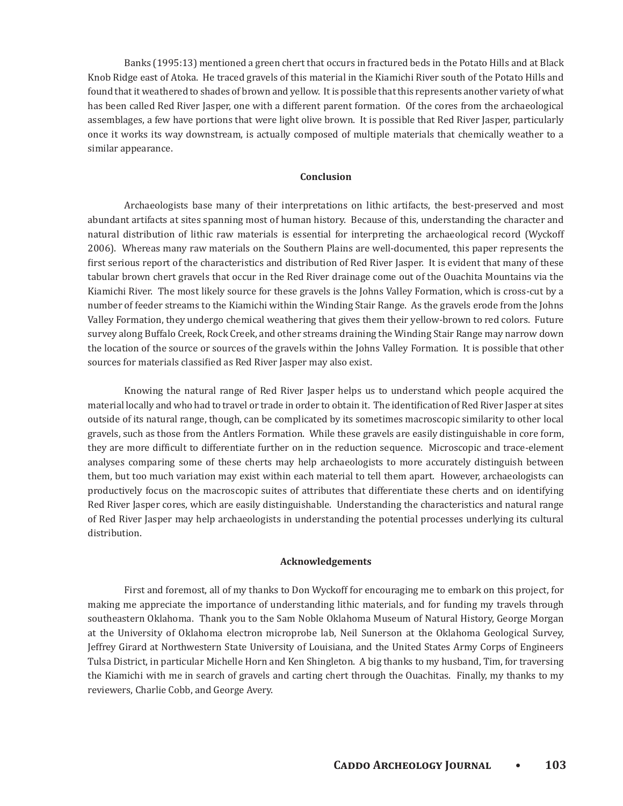Banks (1995:13) mentioned a green chert that occurs in fractured beds in the Potato Hills and at Black Knob Ridge east of Atoka. He traced gravels of this material in the Kiamichi River south of the Potato Hills and found that it weathered to shades of brown and yellow. It is possible that this represents another variety of what has been called Red River Jasper, one with a different parent formation. Of the cores from the archaeological assemblages, a few have portions that were light olive brown. It is possible that Red River Jasper, particularly once it works its way downstream, is actually composed of multiple materials that chemically weather to a similar appearance.

#### Conclusion

Archaeologists base many of their interpretations on lithic artifacts, the best-preserved and most abundant artifacts at sites spanning most of human history. Because of this, understanding the character and natural distribution of lithic raw materials is essential for interpreting the archaeological record (Wyckoff 2006). Whereas many raw materials on the Southern Plains are well-documented, this paper represents the first serious report of the characteristics and distribution of Red River Jasper. It is evident that many of these tabular brown chert gravels that occur in the Red River drainage come out of the Ouachita Mountains via the Kiamichi River. The most likely source for these gravels is the Johns Valley Formation, which is cross-cut by a number of feeder streams to the Kiamichi within the Winding Stair Range. As the gravels erode from the Johns Valley Formation, they undergo chemical weathering that gives them their yellow-brown to red colors. Future survey along Buffalo Creek, Rock Creek, and other streams draining the Winding Stair Range may narrow down the location of the source or sources of the gravels within the Johns Valley Formation. It is possible that other sources for materials classified as Red River Jasper may also exist.

Knowing the natural range of Red River Jasper helps us to understand which people acquired the material locally and who had to travel or trade in order to obtain it. The identification of Red River Jasper at sites outside of its natural range, though, can be complicated by its sometimes macroscopic similarity to other local gravels, such as those from the Antlers Formation. While these gravels are easily distinguishable in core form, they are more difficult to differentiate further on in the reduction sequence. Microscopic and trace-element analyses comparing some of these cherts may help archaeologists to more accurately distinguish between them, but too much variation may exist within each material to tell them apart. However, archaeologists can productively focus on the macroscopic suites of attributes that differentiate these cherts and on identifying Red River Jasper cores, which are easily distinguishable. Understanding the characteristics and natural range of Red River Jasper may help archaeologists in understanding the potential processes underlying its cultural distribution.

#### **Acknowledgements**

First and foremost, all of my thanks to Don Wyckoff for encouraging me to embark on this project, for making me appreciate the importance of understanding lithic materials, and for funding my travels through southeastern Oklahoma. Thank you to the Sam Noble Oklahoma Museum of Natural History, George Morgan at the University of Oklahoma electron microprobe lab, Neil Sunerson at the Oklahoma Geological Survey, Jeffrey Girard at Northwestern State University of Louisiana, and the United States Army Corps of Engineers Tulsa District, in particular Michelle Horn and Ken Shingleton. A big thanks to my husband, Tim, for traversing the Kiamichi with me in search of gravels and carting chert through the Quachitas. Finally, my thanks to my reviewers, Charlie Cobb, and George Avery.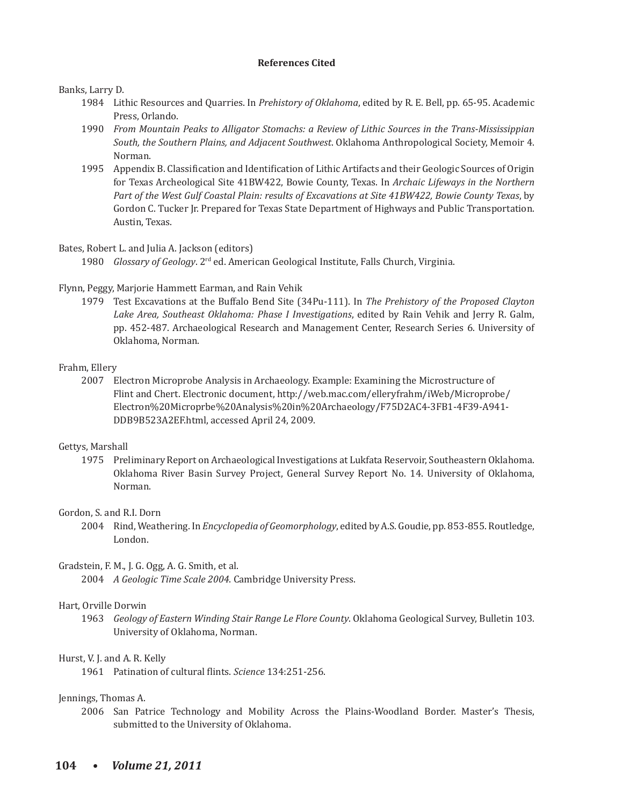#### **References Cited**

#### Banks, Larry D.

- 1984 Lithic Resources and Quarries. In *Prehistory of Oklahoma*, edited by R. E. Bell, pp. 65-95. Academic Press, Orlando.
- 1990 *From Mountain Peaks to Alligator Stomachs: a Review of Lithic Sources in the Trans-Mississippian South, the Southern Plains, and Adjacent Southwest.* Oklahoma Anthropological Society, Memoir 4. Norman.
- 1995 Appendix B. Classification and Identification of Lithic Artifacts and their Geologic Sources of Origin for Texas Archeological Site 41BW422, Bowie County, Texas. In Archaic Lifeways in the Northern Part of the West Gulf Coastal Plain: results of Excavations at Site 41BW422, Bowie County Texas, by Gordon C. Tucker Jr. Prepared for Texas State Department of Highways and Public Transportation. Austin, Texas.

#### Bates, Robert L. and Julia A. Jackson (editors)

1980 *Glossary of Geology*. 2<sup>rd</sup> ed. American Geological Institute, Falls Church, Virginia.

#### Flynn, Peggy, Marjorie Hammett Earman, and Rain Vehik

1979 Test Excavations at the Buffalo Bend Site (34Pu-111). In *The Prehistory of the Proposed Clayton* Lake Area, Southeast Oklahoma: Phase I Investigations, edited by Rain Vehik and Jerry R. Galm, pp. 452-487. Archaeological Research and Management Center, Research Series 6. University of Oklahoma, Norman.

#### Frahm, Ellery

2007 Electron Microprobe Analysis in Archaeology. Example: Examining the Microstructure of Flint and Chert. Electronic document, http://web.mac.com/elleryfrahm/iWeb/Microprobe/ Electron%20Microprbe%20Analysis%20in%20Archaeology/F75D2AC4-3FB1-4F39-A941-DDB9B523A2EF.html, accessed April 24, 2009.

#### Gettys, Marshall

1975 Preliminary Report on Archaeological Investigations at Lukfata Reservoir, Southeastern Oklahoma. Oklahoma River Basin Survey Project, General Survey Report No. 14. University of Oklahoma, Norman.

#### Gordon, S. and R.I. Dorn

2004 Rind, Weathering. In *Encyclopedia of Geomorphology*, edited by A.S. Goudie, pp. 853-855. Routledge, London.

#### Gradstein, F. M., J. G. Ogg, A. G. Smith, et al.

2004 A Geologic Time Scale 2004. Cambridge University Press.

#### Hart, Orville Dorwin

1963 *Geology of Eastern Winding Stair Range Le Flore County*. Oklahoma Geological Survey, Bulletin 103. University of Oklahoma, Norman.

#### Hurst, V. J. and A. R. Kelly

1961 Patination of cultural flints. Science 134:251-256.

#### Jennings, Thomas A.

2006 San Patrice Technology and Mobility Across the Plains-Woodland Border. Master's Thesis, submitted to the University of Oklahoma.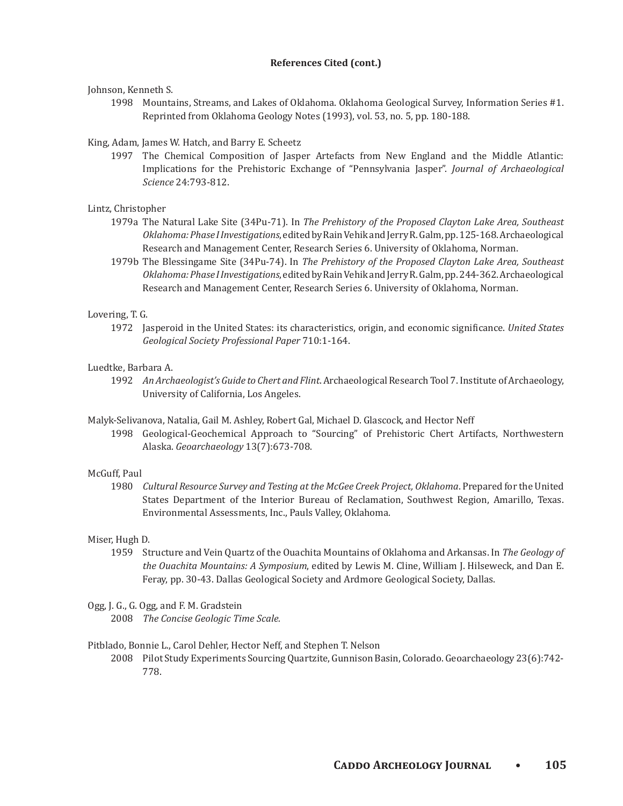## **References Cited (cont.)**

## Johnson, Kenneth S.

1998 Mountains, Streams, and Lakes of Oklahoma. Oklahoma Geological Survey, Information Series #1. Reprinted from Oklahoma Geology Notes (1993), vol. 53, no. 5, pp. 180-188.

# King, Adam, James W. Hatch, and Barry E. Scheetz

1997 The Chemical Composition of Jasper Artefacts from New England and the Middle Atlantic: Implications for the Prehistoric Exchange of "Pennsylvania Jasper". *Journal of Archaeological Science* 24:793-812.

# Lintz, Christopher

- 1979a The Natural Lake Site (34Pu-71). In The Prehistory of the Proposed Clayton Lake Area, Southeast Oklahoma: Phase I Investigations, edited by Rain Vehik and Jerry R. Galm, pp. 125-168. Archaeological Research and Management Center, Research Series 6. University of Oklahoma, Norman.
- 1979b The Blessingame Site (34Pu-74). In *The Prehistory of the Proposed Clayton Lake Area, Southeast* Oklahoma: Phase I Investigations, edited by Rain Vehik and Jerry R. Galm, pp. 244-362. Archaeological Research and Management Center, Research Series 6. University of Oklahoma, Norman.

## Lovering, T. G.

1972 Jasperoid in the United States: its characteristics, origin, and economic significance. United States *Geological Society Professional Paper* 710:1-164.

# Luedtke, Barbara A.

- 1992 An Archaeologist's Guide to Chert and Flint. Archaeological Research Tool 7. Institute of Archaeology, University of California, Los Angeles.
- Malyk-Selivanova, Natalia, Gail M. Ashley, Robert Gal, Michael D. Glascock, and Hector Neff
- 1998 Geological-Geochemical Approach to "Sourcing" of Prehistoric Chert Artifacts, Northwestern *Alaska. Geoarchaeology* 13(7):673-708.

## McGuff, Paul

1980 *Cultural Resource Survey and Testing at the McGee Creek Project, Oklahoma*. Prepared for the United States Department of the Interior Bureau of Reclamation, Southwest Region, Amarillo, Texas. Environmental Assessments, Inc., Pauls Valley, Oklahoma.

## Miser, Hugh D.

1959 Structure and Vein Quartz of the Ouachita Mountains of Oklahoma and Arkansas. In The Geology of the Ouachita Mountains: A Symposium, edited by Lewis M. Cline, William J. Hilseweck, and Dan E. Feray, pp. 30-43. Dallas Geological Society and Ardmore Geological Society, Dallas.

## Ogg, J. G., G. Ogg, and F. M. Gradstein

2008 *The Concise Geologic Time Scale.* 

## Pitblado, Bonnie L., Carol Dehler, Hector Neff, and Stephen T. Nelson

2008 Pilot Study Experiments Sourcing Quartzite, Gunnison Basin, Colorado. Geoarchaeology 23(6):742-778.